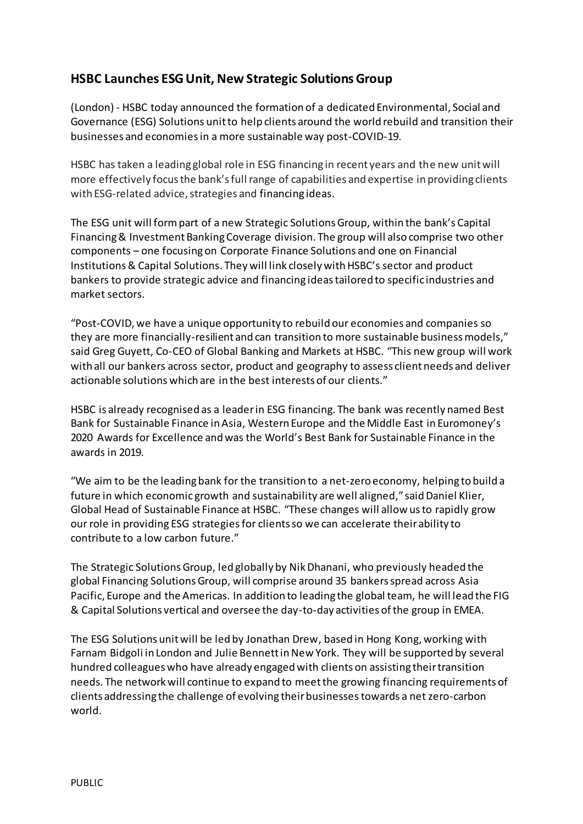# **HSBC Launches ESG Unit, New Strategic Solutions Group**

(London) - HSBC today announced the formation of a dedicated Environmental, Social and Governance (ESG) Solutions unit to help clients around the world rebuild and transition their businesses and economies in a more sustainable way post-COVID-19.

HSBC has taken a leading global role in ESG financing in recent years and the new unit will more effectively focus the bank's full range of capabilities and expertise in providing clients with ESG-related advice, strategies and financing ideas.

The ESG unit will form part of a new Strategic Solutions Group, within the bank's Capital Financing & Investment Banking Coverage division. The group will also comprise two other components – one focusing on Corporate Finance Solutions and one on Financial Institutions& Capital Solutions. They will link closely with HSBC's sector and product bankers to provide strategic advice and financing ideastailored to specific industries and market sectors.

"Post-COVID, we have a unique opportunity to rebuild our economies and companies so they are more financially-resilient and can transition to more sustainable business models," said Greg Guyett, Co-CEO of Global Banking and Markets at HSBC. "This new group will work with all our bankers across sector, product and geography to assess client needs and deliver actionable solutions which are in the best interests of our clients."

HSBC is already recognised as a leader in ESG financing. The bank was recently named Best Bank for Sustainable Finance in Asia, Western Europe and the Middle East in Euromoney's 2020 Awards for Excellence and was the World's Best Bank for Sustainable Finance in the awards in 2019.

"We aim to be the leading bank for the transition to a net-zero economy, helping to build a future in which economic growth and sustainability are well aligned," said Daniel Klier, Global Head of Sustainable Finance at HSBC. "These changes will allow us to rapidly grow our role in providing ESG strategiesfor clients so we can accelerate their ability to contribute to a low carbon future."

The Strategic Solutions Group, led globally by Nik Dhanani, who previously headed the global Financing Solutions Group, will comprise around 35 bankers spread across Asia Pacific, Europe and the Americas. In addition to leading the global team, he will lead the FIG & Capital Solutions vertical and oversee the day-to-day activities of the group in EMEA.

The ESG Solutions unit will be led by Jonathan Drew, based in Hong Kong, working with Farnam Bidgoli in London and Julie Bennett in New York. They will be supported by several hundred colleagues who have already engaged with clients on assisting their transition needs. The network will continue to expand to meet the growing financing requirements of clients addressing the challenge of evolving their businesses towards a net zero-carbon world.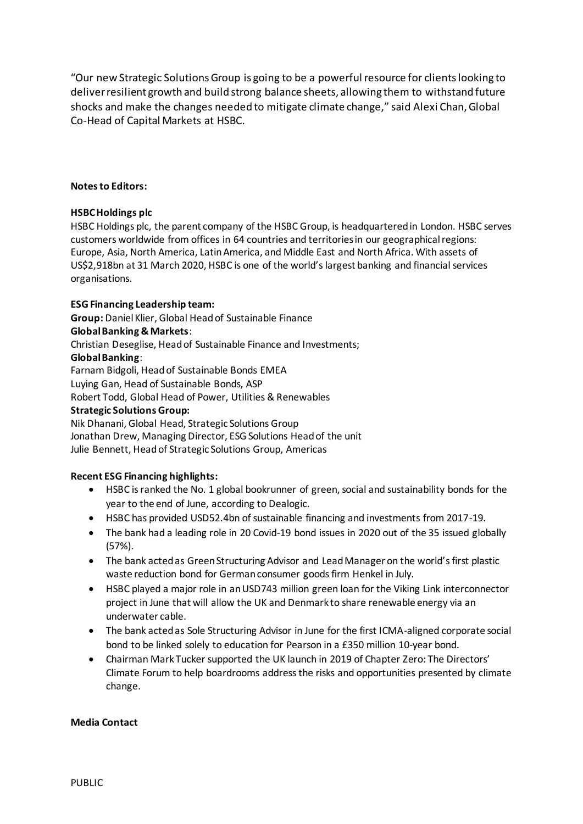"Our new Strategic Solutions Group is going to be a powerful resource for clients looking to deliver resilient growth and build strong balance sheets, allowing them to withstand future shocks and make the changes needed to mitigate climate change," said Alexi Chan, Global Co-Head of Capital Markets at HSBC.

### **Notes to Editors:**

## **HSBC Holdings plc**

HSBC Holdings plc, the parent company of the HSBC Group, is headquartered in London. HSBC serves customers worldwide from offices in 64 countries and territories in our geographical regions: Europe, Asia, North America, Latin America, and Middle East and North Africa. With assets of US\$2,918bn at 31 March 2020, HSBC is one of the world's largest banking and financial services organisations.

## **ESG Financing Leadership team:**

**Group:** Daniel Klier, Global Head of Sustainable Finance

### **Global Banking & Markets**:

Christian Deseglise, Head of Sustainable Finance and Investments;

### **Global Banking**:

Farnam Bidgoli, Head of Sustainable Bonds EMEA

Luying Gan, Head of Sustainable Bonds, ASP

Robert Todd, Global Head of Power, Utilities & Renewables

#### **Strategic Solutions Group:**

Nik Dhanani, Global Head, Strategic Solutions Group Jonathan Drew, Managing Director, ESG Solutions Head of the unit Julie Bennett, Head of Strategic Solutions Group, Americas

## **Recent ESG Financing highlights:**

- HSBC is ranked the No. 1 global bookrunner of green, social and sustainability bonds for the year to the end of June, according to Dealogic.
- HSBC has provided USD52.4bn of sustainable financing and investments from 2017-19.
- The bank had a leading role in 20 Covid-19 bond issues in 2020 out of the 35 issued globally (57%).
- The bank acted as Green Structuring Advisor and Lead Manager on the world's first plastic waste reduction bond for German consumer goods firm Henkel in July.
- HSBC played a major role in an USD743 million green loan for the Viking Link interconnector project in June that will allow the UK and Denmark to share renewable energy via an underwater cable.
- The bank acted as Sole Structuring Advisor in June for the first ICMA-aligned corporate social bond to be linked solely to education for Pearson in a £350 million 10-year bond.
- Chairman Mark Tucker supported the UK launch in 2019 of Chapter Zero: The Directors' Climate Forum to help boardrooms address the risks and opportunities presented by climate change.

#### **Media Contact**